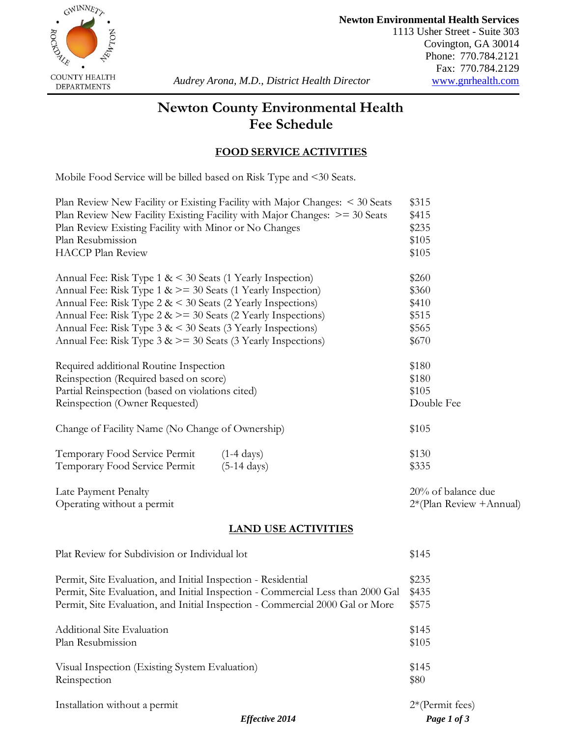

**Newton Environmental Health Services**

1113 Usher Street - Suite 303 Covington, GA 30014 Phone: 770.784.2121 Fax: 770.784.2129 **COUNTY HEALTH**<br>DEPARTMENTS *Audrey Arona, M.D., District Health Director* <u>[www.gnrhealth.com](http://www.gnrhealth.com/)</u>

# **Newton County Environmental Health Fee Schedule**

## **FOOD SERVICE ACTIVITIES**

Mobile Food Service will be billed based on Risk Type and <30 Seats.

| Plan Review New Facility or Existing Facility with Major Changes: < 30 Seats                                    | \$315                    |
|-----------------------------------------------------------------------------------------------------------------|--------------------------|
| Plan Review New Facility Existing Facility with Major Changes: $\ge$ = 30 Seats                                 | \$415                    |
| Plan Review Existing Facility with Minor or No Changes                                                          | \$235                    |
| Plan Resubmission                                                                                               | \$105                    |
| <b>HACCP Plan Review</b>                                                                                        | \$105                    |
| Annual Fee: Risk Type $1 \< 30$ Seats (1 Yearly Inspection)                                                     | \$260                    |
| Annual Fee: Risk Type $1 \> = 30$ Seats (1 Yearly Inspection)                                                   | \$360                    |
| Annual Fee: Risk Type $2 \< 30$ Seats (2 Yearly Inspections)                                                    | \$410                    |
| Annual Fee: Risk Type $2 \> = 30$ Seats (2 Yearly Inspections)                                                  | \$515                    |
| Annual Fee: Risk Type 3 & < 30 Seats (3 Yearly Inspections)                                                     | \$565                    |
| Annual Fee: Risk Type 3 & >= 30 Seats (3 Yearly Inspections)                                                    | \$670                    |
| Required additional Routine Inspection                                                                          | \$180                    |
| Reinspection (Required based on score)                                                                          | \$180                    |
| Partial Reinspection (based on violations cited)                                                                | \$105                    |
| Reinspection (Owner Requested)                                                                                  | Double Fee               |
| Change of Facility Name (No Change of Ownership)                                                                | \$105                    |
| Temporary Food Service Permit<br>$(1-4 \text{ days})$<br>Temporary Food Service Permit<br>$(5-14 \text{ days})$ | \$130<br>\$335           |
| Late Payment Penalty                                                                                            | 20% of balance due       |
| Operating without a permit                                                                                      | 2*(Plan Review + Annual) |
| <b>LAND USE ACTIVITIES</b>                                                                                      |                          |
| Plat Review for Subdivision or Individual lot                                                                   | \$145                    |
| Permit, Site Evaluation, and Initial Inspection - Residential                                                   | \$235                    |
| Permit, Site Evaluation, and Initial Inspection - Commercial Less than 2000 Gal                                 | \$435                    |
| Permit, Site Evaluation, and Initial Inspection - Commercial 2000 Gal or More                                   | \$575                    |
| <b>Additional Site Evaluation</b>                                                                               | \$145                    |
| Plan Resubmission                                                                                               | \$105                    |
| Visual Inspection (Existing System Evaluation)                                                                  | \$145                    |
| Reinspection                                                                                                    | \$80                     |
| Installation without a permit                                                                                   | $2*(Permit fees)$        |
| <b>Effective 2014</b>                                                                                           | Page 1 of 3              |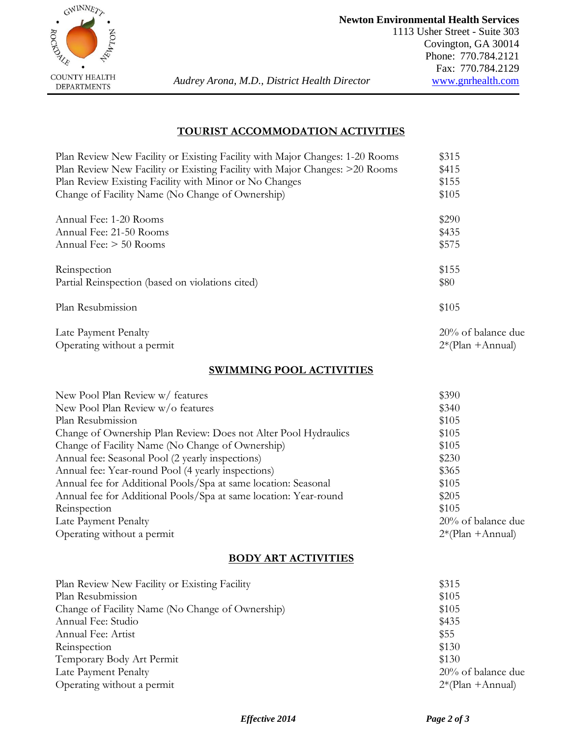

## **TOURIST ACCOMMODATION ACTIVITIES**

| Plan Review New Facility or Existing Facility with Major Changes: 1-20 Rooms | \$315               |
|------------------------------------------------------------------------------|---------------------|
| Plan Review New Facility or Existing Facility with Major Changes: >20 Rooms  | \$415               |
| Plan Review Existing Facility with Minor or No Changes                       | \$155               |
| Change of Facility Name (No Change of Ownership)                             | \$105               |
| Annual Fee: 1-20 Rooms                                                       | \$290               |
| Annual Fee: 21-50 Rooms                                                      | \$435               |
| Annual Fee: > 50 Rooms                                                       | \$575               |
| Reinspection                                                                 | \$155               |
| Partial Reinspection (based on violations cited)                             | \$80                |
| Plan Resubmission                                                            | \$105               |
| Late Payment Penalty                                                         | 20% of balance due  |
| Operating without a permit                                                   | $2*(Plan + Annual)$ |
| <b>SWIMMING POOL ACTIVITIES</b>                                              |                     |
| New Pool Plan Review w/ features                                             | \$390               |
| New Pool Plan Review w/o features                                            | \$340               |
| Plan Resubmission                                                            | \$105               |
| Change of Ownership Plan Review: Does not Alter Pool Hydraulics              | \$105               |
| Change of Facility Name (No Change of Ownership)                             | \$105               |
| Annual fee: Seasonal Pool (2 yearly inspections)                             | \$230               |
| Annual fee: Year-round Pool (4 yearly inspections)                           | \$365               |
| Annual fee for Additional Pools/Spa at same location: Seasonal               | \$105               |
| Annual fee for Additional Pools/Spa at same location: Year-round             | \$205               |
| Reinspection                                                                 | \$105               |

### **BODY ART ACTIVITIES**

Late Payment Penalty 20% of balance due Operating without a permit 2\*(Plan +Annual)

| Plan Review New Facility or Existing Facility    | \$315               |
|--------------------------------------------------|---------------------|
| Plan Resubmission                                | \$105               |
| Change of Facility Name (No Change of Ownership) | \$105               |
| Annual Fee: Studio                               | \$435               |
| Annual Fee: Artist                               | \$55                |
| Reinspection                                     | \$130               |
| Temporary Body Art Permit                        | \$130               |
| Late Payment Penalty                             | 20% of balance due  |
| Operating without a permit                       | $2*(Plan + Annual)$ |